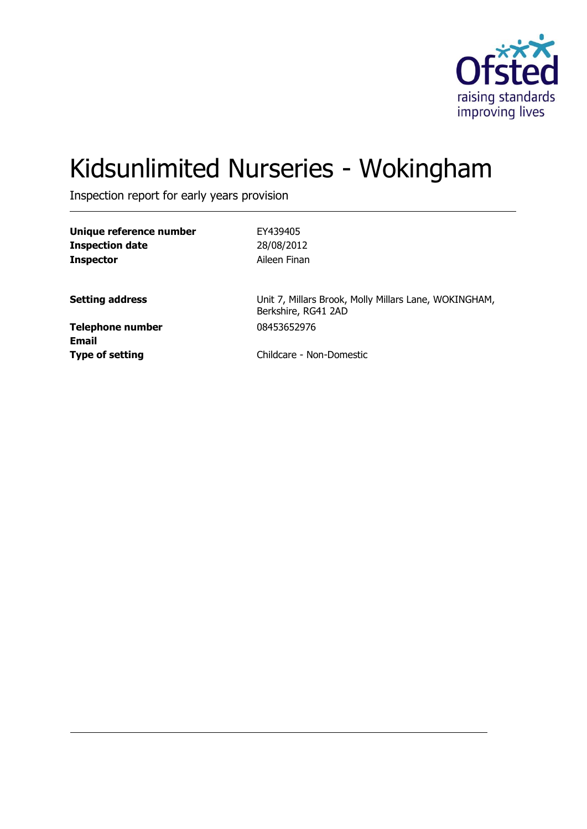

# Kidsunlimited Nurseries - Wokingham

Inspection report for early years provision

| Unique reference number |  |
|-------------------------|--|
| <b>Inspection date</b>  |  |
| <b>Inspector</b>        |  |

**Unique reference number** EY439405 **Inspection date** 28/08/2012 **Aileen Finan** 

**Setting address** Unit 7, Millars Brook, Molly Millars Lane, WOKINGHAM, Berkshire, RG41 2AD

**Telephone number** 08453652976 **Email**

**Type of setting** Childcare - Non-Domestic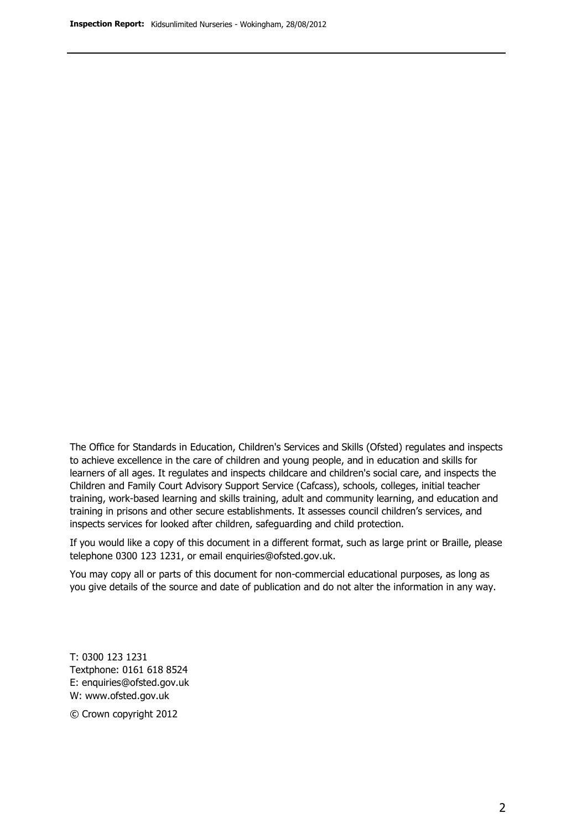The Office for Standards in Education, Children's Services and Skills (Ofsted) regulates and inspects to achieve excellence in the care of children and young people, and in education and skills for learners of all ages. It regulates and inspects childcare and children's social care, and inspects the Children and Family Court Advisory Support Service (Cafcass), schools, colleges, initial teacher training, work-based learning and skills training, adult and community learning, and education and training in prisons and other secure establishments. It assesses council children's services, and inspects services for looked after children, safeguarding and child protection.

If you would like a copy of this document in a different format, such as large print or Braille, please telephone 0300 123 1231, or email enquiries@ofsted.gov.uk.

You may copy all or parts of this document for non-commercial educational purposes, as long as you give details of the source and date of publication and do not alter the information in any way.

T: 0300 123 1231 Textphone: 0161 618 8524 E: enquiries@ofsted.gov.uk W: [www.ofsted.gov.uk](http://www.ofsted.gov.uk/)

© Crown copyright 2012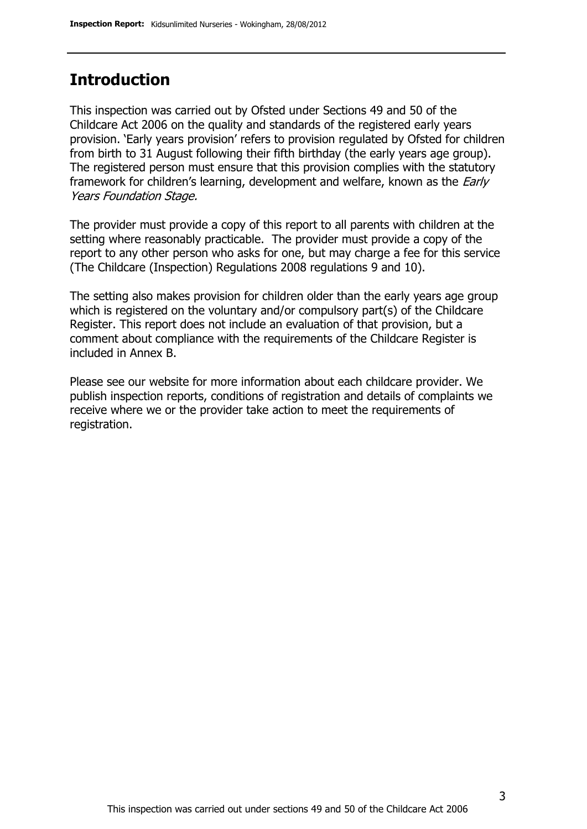### **Introduction**

This inspection was carried out by Ofsted under Sections 49 and 50 of the Childcare Act 2006 on the quality and standards of the registered early years provision. 'Early years provision' refers to provision regulated by Ofsted for children from birth to 31 August following their fifth birthday (the early years age group). The registered person must ensure that this provision complies with the statutory framework for children's learning, development and welfare, known as the *Early* Years Foundation Stage.

The provider must provide a copy of this report to all parents with children at the setting where reasonably practicable. The provider must provide a copy of the report to any other person who asks for one, but may charge a fee for this service (The Childcare (Inspection) Regulations 2008 regulations 9 and 10).

The setting also makes provision for children older than the early years age group which is registered on the voluntary and/or compulsory part(s) of the Childcare Register. This report does not include an evaluation of that provision, but a comment about compliance with the requirements of the Childcare Register is included in Annex B.

Please see our website for more information about each childcare provider. We publish inspection reports, conditions of registration and details of complaints we receive where we or the provider take action to meet the requirements of registration.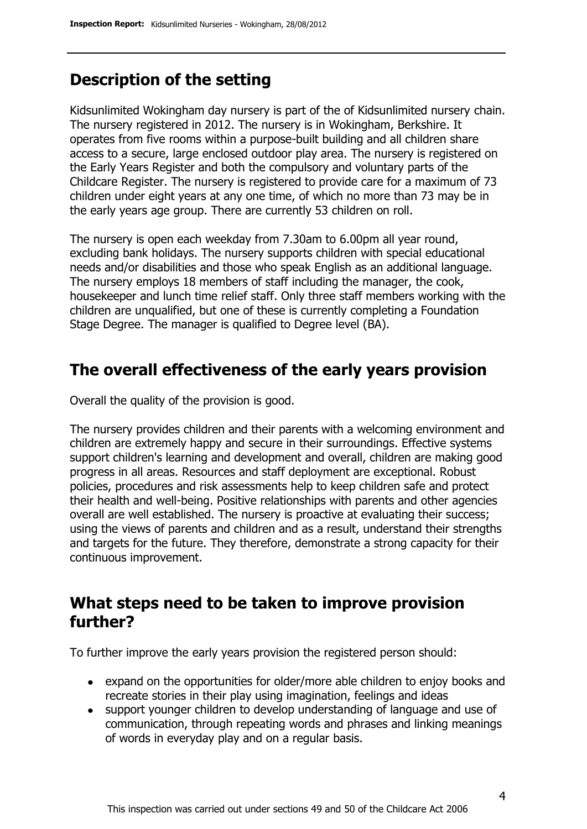# **Description of the setting**

Kidsunlimited Wokingham day nursery is part of the of Kidsunlimited nursery chain. The nursery registered in 2012. The nursery is in Wokingham, Berkshire. It operates from five rooms within a purpose-built building and all children share access to a secure, large enclosed outdoor play area. The nursery is registered on the Early Years Register and both the compulsory and voluntary parts of the Childcare Register. The nursery is registered to provide care for a maximum of 73 children under eight years at any one time, of which no more than 73 may be in the early years age group. There are currently 53 children on roll.

The nursery is open each weekday from 7.30am to 6.00pm all year round, excluding bank holidays. The nursery supports children with special educational needs and/or disabilities and those who speak English as an additional language. The nursery employs 18 members of staff including the manager, the cook, housekeeper and lunch time relief staff. Only three staff members working with the children are unqualified, but one of these is currently completing a Foundation Stage Degree. The manager is qualified to Degree level (BA).

### **The overall effectiveness of the early years provision**

Overall the quality of the provision is good.

The nursery provides children and their parents with a welcoming environment and children are extremely happy and secure in their surroundings. Effective systems support children's learning and development and overall, children are making good progress in all areas. Resources and staff deployment are exceptional. Robust policies, procedures and risk assessments help to keep children safe and protect their health and well-being. Positive relationships with parents and other agencies overall are well established. The nursery is proactive at evaluating their success; using the views of parents and children and as a result, understand their strengths and targets for the future. They therefore, demonstrate a strong capacity for their continuous improvement.

# **What steps need to be taken to improve provision further?**

To further improve the early years provision the registered person should:

- expand on the opportunities for older/more able children to enjoy books and recreate stories in their play using imagination, feelings and ideas
- support younger children to develop understanding of language and use of communication, through repeating words and phrases and linking meanings of words in everyday play and on a regular basis.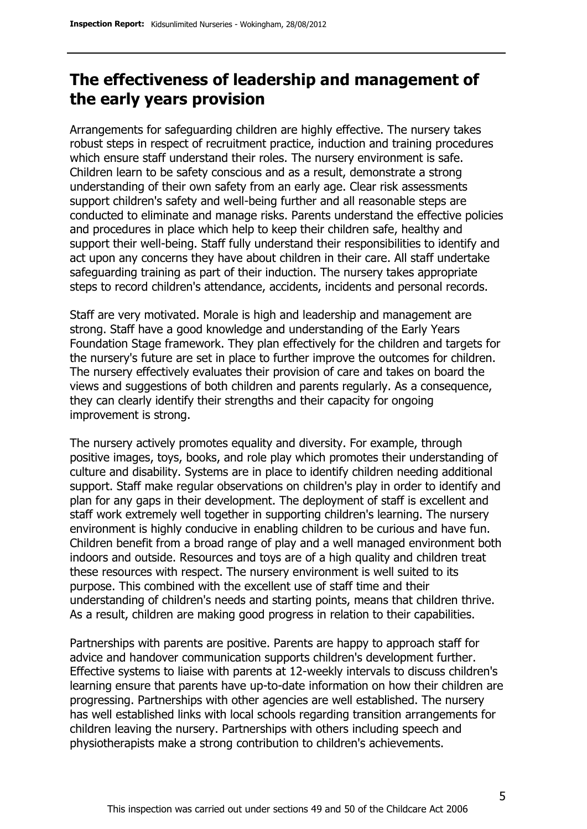## **The effectiveness of leadership and management of the early years provision**

Arrangements for safeguarding children are highly effective. The nursery takes robust steps in respect of recruitment practice, induction and training procedures which ensure staff understand their roles. The nursery environment is safe. Children learn to be safety conscious and as a result, demonstrate a strong understanding of their own safety from an early age. Clear risk assessments support children's safety and well-being further and all reasonable steps are conducted to eliminate and manage risks. Parents understand the effective policies and procedures in place which help to keep their children safe, healthy and support their well-being. Staff fully understand their responsibilities to identify and act upon any concerns they have about children in their care. All staff undertake safeguarding training as part of their induction. The nursery takes appropriate steps to record children's attendance, accidents, incidents and personal records.

Staff are very motivated. Morale is high and leadership and management are strong. Staff have a good knowledge and understanding of the Early Years Foundation Stage framework. They plan effectively for the children and targets for the nursery's future are set in place to further improve the outcomes for children. The nursery effectively evaluates their provision of care and takes on board the views and suggestions of both children and parents regularly. As a consequence, they can clearly identify their strengths and their capacity for ongoing improvement is strong.

The nursery actively promotes equality and diversity. For example, through positive images, toys, books, and role play which promotes their understanding of culture and disability. Systems are in place to identify children needing additional support. Staff make regular observations on children's play in order to identify and plan for any gaps in their development. The deployment of staff is excellent and staff work extremely well together in supporting children's learning. The nursery environment is highly conducive in enabling children to be curious and have fun. Children benefit from a broad range of play and a well managed environment both indoors and outside. Resources and toys are of a high quality and children treat these resources with respect. The nursery environment is well suited to its purpose. This combined with the excellent use of staff time and their understanding of children's needs and starting points, means that children thrive. As a result, children are making good progress in relation to their capabilities.

Partnerships with parents are positive. Parents are happy to approach staff for advice and handover communication supports children's development further. Effective systems to liaise with parents at 12-weekly intervals to discuss children's learning ensure that parents have up-to-date information on how their children are progressing. Partnerships with other agencies are well established. The nursery has well established links with local schools regarding transition arrangements for children leaving the nursery. Partnerships with others including speech and physiotherapists make a strong contribution to children's achievements.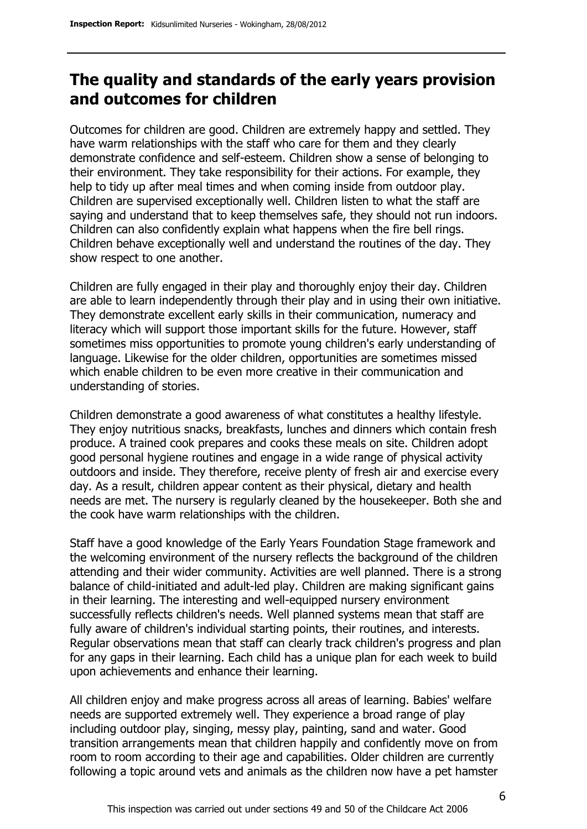## **The quality and standards of the early years provision and outcomes for children**

Outcomes for children are good. Children are extremely happy and settled. They have warm relationships with the staff who care for them and they clearly demonstrate confidence and self-esteem. Children show a sense of belonging to their environment. They take responsibility for their actions. For example, they help to tidy up after meal times and when coming inside from outdoor play. Children are supervised exceptionally well. Children listen to what the staff are saying and understand that to keep themselves safe, they should not run indoors. Children can also confidently explain what happens when the fire bell rings. Children behave exceptionally well and understand the routines of the day. They show respect to one another.

Children are fully engaged in their play and thoroughly enjoy their day. Children are able to learn independently through their play and in using their own initiative. They demonstrate excellent early skills in their communication, numeracy and literacy which will support those important skills for the future. However, staff sometimes miss opportunities to promote young children's early understanding of language. Likewise for the older children, opportunities are sometimes missed which enable children to be even more creative in their communication and understanding of stories.

Children demonstrate a good awareness of what constitutes a healthy lifestyle. They enjoy nutritious snacks, breakfasts, lunches and dinners which contain fresh produce. A trained cook prepares and cooks these meals on site. Children adopt good personal hygiene routines and engage in a wide range of physical activity outdoors and inside. They therefore, receive plenty of fresh air and exercise every day. As a result, children appear content as their physical, dietary and health needs are met. The nursery is regularly cleaned by the housekeeper. Both she and the cook have warm relationships with the children.

Staff have a good knowledge of the Early Years Foundation Stage framework and the welcoming environment of the nursery reflects the background of the children attending and their wider community. Activities are well planned. There is a strong balance of child-initiated and adult-led play. Children are making significant gains in their learning. The interesting and well-equipped nursery environment successfully reflects children's needs. Well planned systems mean that staff are fully aware of children's individual starting points, their routines, and interests. Regular observations mean that staff can clearly track children's progress and plan for any gaps in their learning. Each child has a unique plan for each week to build upon achievements and enhance their learning.

All children enjoy and make progress across all areas of learning. Babies' welfare needs are supported extremely well. They experience a broad range of play including outdoor play, singing, messy play, painting, sand and water. Good transition arrangements mean that children happily and confidently move on from room to room according to their age and capabilities. Older children are currently following a topic around vets and animals as the children now have a pet hamster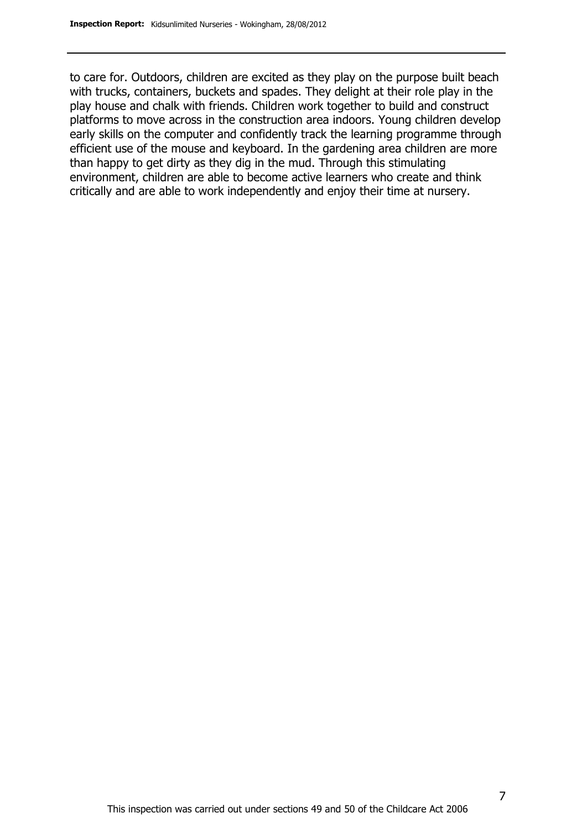to care for. Outdoors, children are excited as they play on the purpose built beach with trucks, containers, buckets and spades. They delight at their role play in the play house and chalk with friends. Children work together to build and construct platforms to move across in the construction area indoors. Young children develop early skills on the computer and confidently track the learning programme through efficient use of the mouse and keyboard. In the gardening area children are more than happy to get dirty as they dig in the mud. Through this stimulating environment, children are able to become active learners who create and think critically and are able to work independently and enjoy their time at nursery.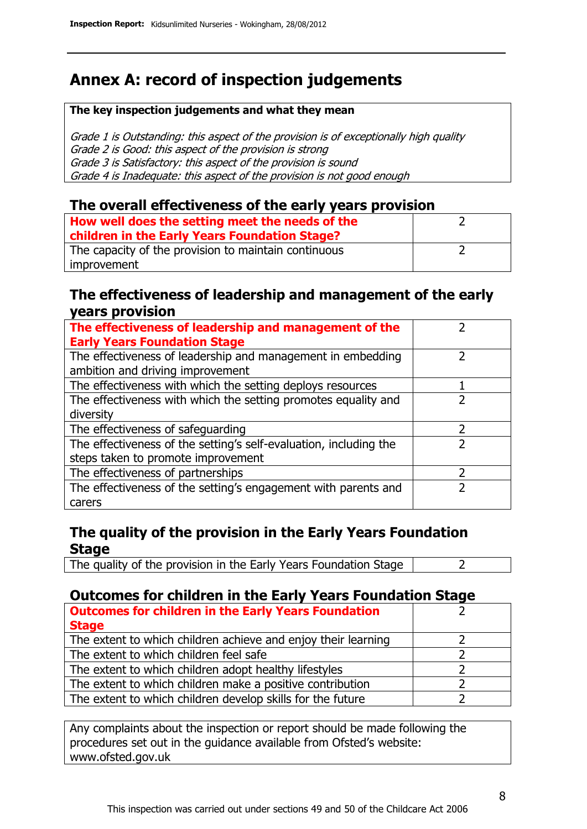# **Annex A: record of inspection judgements**

#### **The key inspection judgements and what they mean**

Grade 1 is Outstanding: this aspect of the provision is of exceptionally high quality Grade 2 is Good: this aspect of the provision is strong Grade 3 is Satisfactory: this aspect of the provision is sound Grade 4 is Inadequate: this aspect of the provision is not good enough

#### **The overall effectiveness of the early years provision**

| How well does the setting meet the needs of the<br>children in the Early Years Foundation Stage? |  |
|--------------------------------------------------------------------------------------------------|--|
| The capacity of the provision to maintain continuous                                             |  |
| improvement                                                                                      |  |

#### **The effectiveness of leadership and management of the early years provision**

| The effectiveness of leadership and management of the<br><b>Early Years Foundation Stage</b>    |   |
|-------------------------------------------------------------------------------------------------|---|
| The effectiveness of leadership and management in embedding<br>ambition and driving improvement |   |
| The effectiveness with which the setting deploys resources                                      |   |
| The effectiveness with which the setting promotes equality and                                  |   |
| diversity                                                                                       |   |
| The effectiveness of safeguarding                                                               | 7 |
| The effectiveness of the setting's self-evaluation, including the                               |   |
| steps taken to promote improvement                                                              |   |
| The effectiveness of partnerships                                                               | 7 |
| The effectiveness of the setting's engagement with parents and                                  |   |
| carers                                                                                          |   |

### **The quality of the provision in the Early Years Foundation Stage**

The quality of the provision in the Early Years Foundation Stage  $\vert$  2

### **Outcomes for children in the Early Years Foundation Stage**

| <b>Outcomes for children in the Early Years Foundation</b><br><b>Stage</b> |  |
|----------------------------------------------------------------------------|--|
| The extent to which children achieve and enjoy their learning              |  |
| The extent to which children feel safe                                     |  |
| The extent to which children adopt healthy lifestyles                      |  |
| The extent to which children make a positive contribution                  |  |
| The extent to which children develop skills for the future                 |  |

Any complaints about the inspection or report should be made following the procedures set out in the guidance available from Ofsted's website: www.ofsted.gov.uk